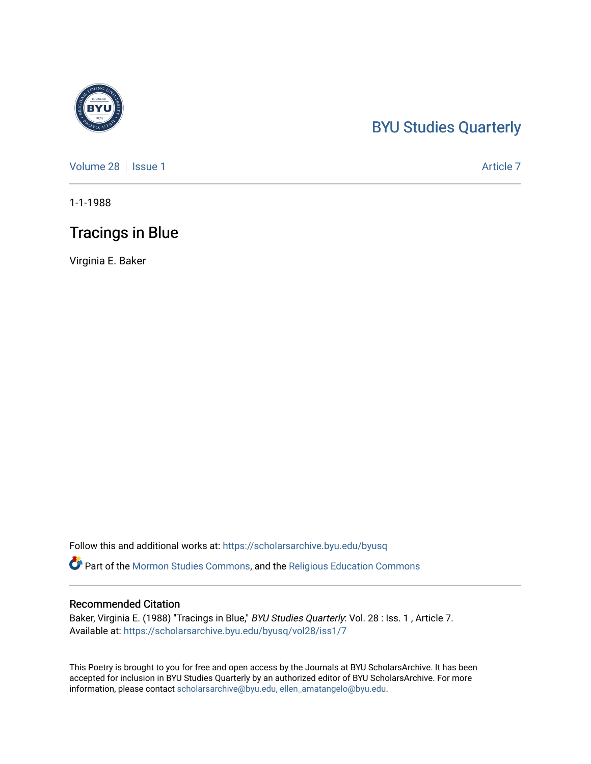## [BYU Studies Quarterly](https://scholarsarchive.byu.edu/byusq)

[Volume 28](https://scholarsarchive.byu.edu/byusq/vol28) | [Issue 1](https://scholarsarchive.byu.edu/byusq/vol28/iss1) Article 7

1-1-1988

## Tracings in Blue

Virginia E. Baker

Follow this and additional works at: [https://scholarsarchive.byu.edu/byusq](https://scholarsarchive.byu.edu/byusq?utm_source=scholarsarchive.byu.edu%2Fbyusq%2Fvol28%2Fiss1%2F7&utm_medium=PDF&utm_campaign=PDFCoverPages) 

Part of the [Mormon Studies Commons](http://network.bepress.com/hgg/discipline/1360?utm_source=scholarsarchive.byu.edu%2Fbyusq%2Fvol28%2Fiss1%2F7&utm_medium=PDF&utm_campaign=PDFCoverPages), and the [Religious Education Commons](http://network.bepress.com/hgg/discipline/1414?utm_source=scholarsarchive.byu.edu%2Fbyusq%2Fvol28%2Fiss1%2F7&utm_medium=PDF&utm_campaign=PDFCoverPages) 

## Recommended Citation

Baker, Virginia E. (1988) "Tracings in Blue," BYU Studies Quarterly: Vol. 28 : Iss. 1, Article 7. Available at: [https://scholarsarchive.byu.edu/byusq/vol28/iss1/7](https://scholarsarchive.byu.edu/byusq/vol28/iss1/7?utm_source=scholarsarchive.byu.edu%2Fbyusq%2Fvol28%2Fiss1%2F7&utm_medium=PDF&utm_campaign=PDFCoverPages)

This Poetry is brought to you for free and open access by the Journals at BYU ScholarsArchive. It has been accepted for inclusion in BYU Studies Quarterly by an authorized editor of BYU ScholarsArchive. For more information, please contact [scholarsarchive@byu.edu, ellen\\_amatangelo@byu.edu.](mailto:scholarsarchive@byu.edu,%20ellen_amatangelo@byu.edu)